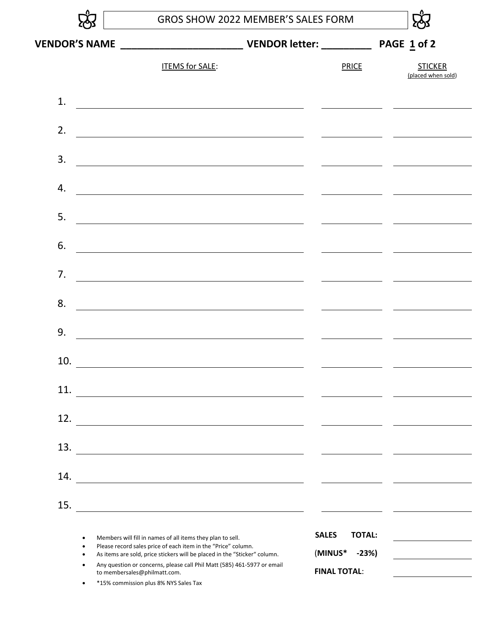|     | GROS SHOW 2022 MEMBER'S SALES FORM                                                                                                                                                                       |  |                                                                                                                        |  |                                      |  |
|-----|----------------------------------------------------------------------------------------------------------------------------------------------------------------------------------------------------------|--|------------------------------------------------------------------------------------------------------------------------|--|--------------------------------------|--|
|     |                                                                                                                                                                                                          |  |                                                                                                                        |  | <b>STICKER</b><br>(placed when sold) |  |
|     | <b>ITEMS for SALE:</b>                                                                                                                                                                                   |  | <b>PRICE</b>                                                                                                           |  |                                      |  |
| 1.  | <u> 1980 - Andrea Brand, amerikansk politik (d. 1980)</u>                                                                                                                                                |  |                                                                                                                        |  |                                      |  |
| 2.  |                                                                                                                                                                                                          |  | <u> 2000 - Jan James James Jan James James Jan James James Jan James James Jan Jan James James Jan Jan James Jan J</u> |  |                                      |  |
| 3.  | <u> 1980 - Johann Barn, mars ann an t-Amhain Aonaich an t-Aonaich an t-Aonaich ann an t-Aonaich ann an t-Aonaich</u>                                                                                     |  | <u>and the state of the state of the state</u>                                                                         |  |                                      |  |
| 4.  | <u> 1980 - Johann Barbara, martxa amerikan personal (h. 1980).</u>                                                                                                                                       |  |                                                                                                                        |  |                                      |  |
| 5.  | <u> 1989 - Johann Barbara, martxa amerikan personal (h. 1989).</u>                                                                                                                                       |  |                                                                                                                        |  |                                      |  |
| 6.  |                                                                                                                                                                                                          |  |                                                                                                                        |  |                                      |  |
| 7.  |                                                                                                                                                                                                          |  |                                                                                                                        |  |                                      |  |
| 8.  |                                                                                                                                                                                                          |  |                                                                                                                        |  |                                      |  |
| 9.  | <u> 1980 - Jan Samuel Barbara, martin din samuel de la partide de la partide de la partide de la partide de la p</u>                                                                                     |  |                                                                                                                        |  |                                      |  |
| 10. |                                                                                                                                                                                                          |  |                                                                                                                        |  |                                      |  |
| 11. |                                                                                                                                                                                                          |  |                                                                                                                        |  |                                      |  |
| 12. | <u> 1980 - Johann Stoff, deutscher Stoffen und der Stoffen und der Stoffen und der Stoffen und der Stoffen und de</u>                                                                                    |  |                                                                                                                        |  |                                      |  |
| 13. |                                                                                                                                                                                                          |  |                                                                                                                        |  |                                      |  |
| 14. |                                                                                                                                                                                                          |  |                                                                                                                        |  |                                      |  |
| 15. | <u> 1980 - Jan Stein, amerikan besteman besteman besteman besteman besteman besteman besteman besteman besteman b</u>                                                                                    |  |                                                                                                                        |  |                                      |  |
|     | Members will fill in names of all items they plan to sell.<br>Please record sales price of each item in the "Price" column.<br>As items are sold, price stickers will be placed in the "Sticker" column. |  | <b>SALES</b><br><b>TOTAL:</b><br>(MINUS*<br>$-23%$                                                                     |  |                                      |  |
|     | Any question or concerns, please call Phil Matt (585) 461-5977 or email<br>to membersales@philmatt.com.                                                                                                  |  | <b>FINAL TOTAL:</b>                                                                                                    |  |                                      |  |

\* 15% commission plus 8% NYS Sales Tax